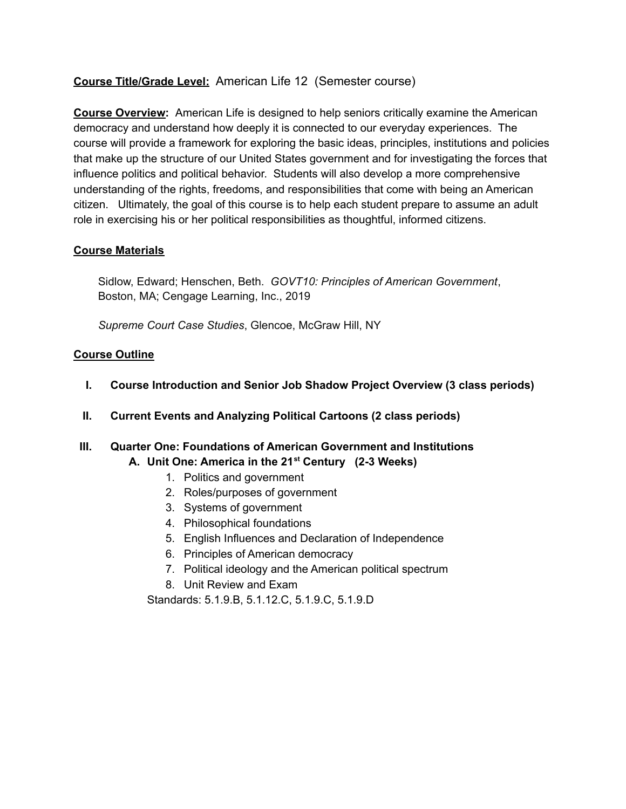## **Course Title/Grade Level:** American Life 12 (Semester course)

**Course Overview:** American Life is designed to help seniors critically examine the American democracy and understand how deeply it is connected to our everyday experiences. The course will provide a framework for exploring the basic ideas, principles, institutions and policies that make up the structure of our United States government and for investigating the forces that influence politics and political behavior. Students will also develop a more comprehensive understanding of the rights, freedoms, and responsibilities that come with being an American citizen. Ultimately, the goal of this course is to help each student prepare to assume an adult role in exercising his or her political responsibilities as thoughtful, informed citizens.

#### **Course Materials**

Sidlow, Edward; Henschen, Beth. *GOVT10: Principles of American Government*, Boston, MA; Cengage Learning, Inc., 2019

*Supreme Court Case Studies*, Glencoe, McGraw Hill, NY

#### **Course Outline**

- **I. Course Introduction and Senior Job Shadow Project Overview (3 class periods)**
- **II. Current Events and Analyzing Political Cartoons (2 class periods)**
- **III. Quarter One: Foundations of American Government and Institutions A. Unit One: America in the 21 st Century (2-3 Weeks)**
	- 1. Politics and government
	- 2. Roles/purposes of government
	- 3. Systems of government
	- 4. Philosophical foundations
	- 5. English Influences and Declaration of Independence
	- 6. Principles of American democracy
	- 7. Political ideology and the American political spectrum
	- 8. Unit Review and Exam

Standards: 5.1.9.B, 5.1.12.C, 5.1.9.C, 5.1.9.D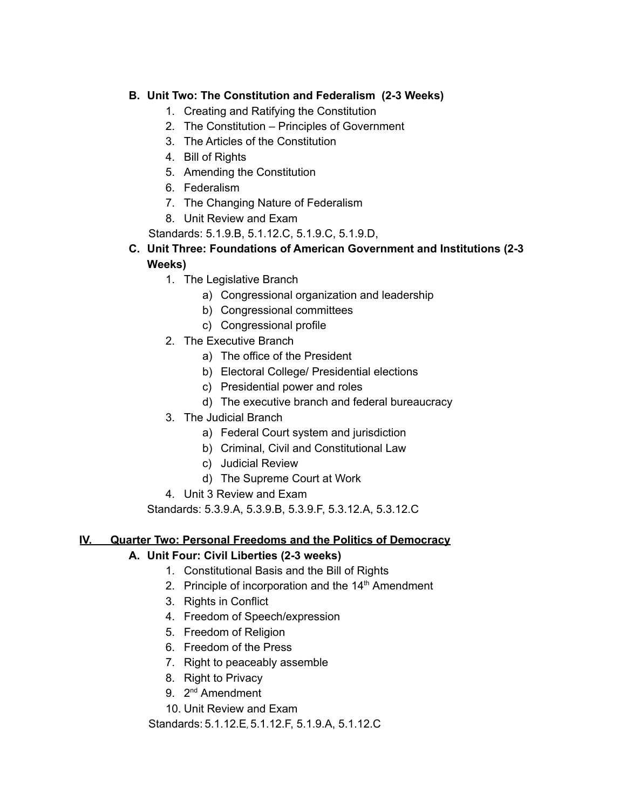## **B. Unit Two: The Constitution and Federalism (2-3 Weeks)**

- 1. Creating and Ratifying the Constitution
- 2. The Constitution Principles of Government
- 3. The Articles of the Constitution
- 4. Bill of Rights
- 5. Amending the Constitution
- 6. Federalism
- 7. The Changing Nature of Federalism
- 8. Unit Review and Exam
- Standards: 5.1.9.B, 5.1.12.C, 5.1.9.C, 5.1.9.D,

## **C. Unit Three: Foundations of American Government and Institutions (2-3 Weeks)**

- 1. The Legislative Branch
	- a) Congressional organization and leadership
	- b) Congressional committees
	- c) Congressional profile
- 2. The Executive Branch
	- a) The office of the President
	- b) Electoral College/ Presidential elections
	- c) Presidential power and roles
	- d) The executive branch and federal bureaucracy
- 3. The Judicial Branch
	- a) Federal Court system and jurisdiction
	- b) Criminal, Civil and Constitutional Law
	- c) Judicial Review
	- d) The Supreme Court at Work
- 4. Unit 3 Review and Exam

Standards: 5.3.9.A, 5.3.9.B, 5.3.9.F, 5.3.12.A, 5.3.12.C

#### **IV. Quarter Two: Personal Freedoms and the Politics of Democracy**

# **A. Unit Four: Civil Liberties (2-3 weeks)**

- 1. Constitutional Basis and the Bill of Rights
- 2. Principle of incorporation and the 14<sup>th</sup> Amendment
- 3. Rights in Conflict
- 4. Freedom of Speech/expression
- 5. Freedom of Religion
- 6. Freedom of the Press
- 7. Right to peaceably assemble
- 8. Right to Privacy
- 9. 2<sup>nd</sup> Amendment
- 10. Unit Review and Exam

Standards: 5.1.12.E, 5.1.12.F, 5.1.9.A, 5.1.12.C